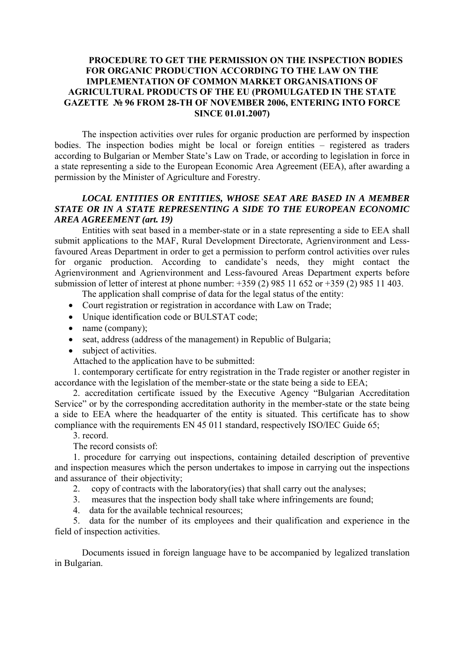## **PROCEDURE TO GET THE PERMISSION ON THE INSPECTION BODIES FOR ORGANIC PRODUCTION ACCORDING TO THE LAW ON THE IMPLEMENTATION OF COMMON MARKET ORGANISATIONS OF AGRICULTURAL PRODUCTS OF THE EU (PROMULGATED IN THE STATE GAZETTE № 96 FROM 28-TH OF NOVEMBER 2006, ENTERING INTO FORCE SINCE 01.01.2007)**

The inspection activities over rules for organic production are performed by inspection bodies. The inspection bodies might be local or foreign entities – registered as traders according to Bulgarian or Member State's Law on Trade, or according to legislation in force in a state representing a side to the European Economic Area Agreement (EEA), after awarding a permission by the Minister of Agriculture and Forestry.

## *LOCAL ENTITIES OR ENTITIES, WHOSE SEAT ARE BASED IN A MEMBER*  **STATE OR IN A STATE REPRESENTING A SIDE TO THE EUROPEAN ECONOMIC** *AREA AGREEMENT (art. 19)*

Entities with seat based in a member-state or in a state representing a side to EEA shall submit applications to the MAF, Rural Development Directorate, Agrienvironment and Lessfavoured Areas Department in order to get a permission to perform control activities over rules for organic production. According to candidate's needs, they might contact the Agrienvironment and Agrienvironment and Less-favoured Areas Department experts before submission of letter of interest at phone number: +359 (2) 985 11 652 or +359 (2) 985 11 403.

The application shall comprise of data for the legal status of the entity:

- Court registration or registration in accordance with Law on Trade;
- Unique identification code or BULSTAT code;
- name (company);
- seat, address (address of the management) in Republic of Bulgaria;
- subject of activities.
- Attached to the application have to be submitted:

1. contemporary certificate for entry registration in the Trade register or another register in accordance with the legislation of the member-state or the state being a side to EEA;

2. accreditation certificate issued by the Executive Agency "Bulgarian Accreditation Service" or by the corresponding accreditation authority in the member-state or the state being a side to EEA where the headquarter of the entity is situated. This certificate has to show compliance with the requirements ЕN 45 011 standard, respectively ISO/IEC Guide 65;

3. record.

The record consists of:

1. procedure for carrying out inspections, containing detailed description of preventive and inspection measures which the person undertakes to impose in carrying out the inspections and assurance of their objectivity;

2. copy of contracts with the laboratory(ies) that shall carry out the analyses;

- 3. measures that the inspection body shall take where infringements are found;
- 4. data for the available technical resources;

5. data for the number of its employees and their qualification and experience in the field of inspection activities.

Documents issued in foreign language have to be accompanied by legalized translation in Bulgarian.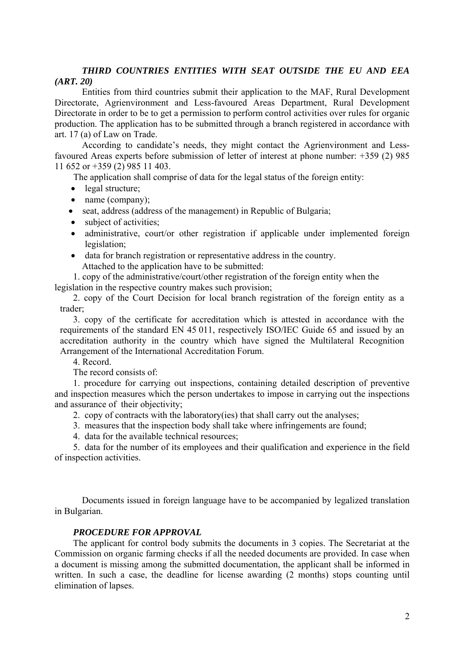## *THIRD COUNTRIES ENTITIES WITH SEAT OUTSIDE THE EU AND EEA (ART. 20)*

Entities from third countries submit their application to the MAF, Rural Development Directorate, Agrienvironment and Less-favoured Areas Department, Rural Development Directorate in order to be to get a permission to perform control activities over rules for organic production. The application has to be submitted through a branch registered in accordance with art. 17 (a) of Law on Trade.

According to candidate's needs, they might contact the Agrienvironment and Lessfavoured Areas experts before submission of letter of interest at phone number: +359 (2) 985 11 652 or +359 (2) 985 11 403.

The application shall comprise of data for the legal status of the foreign entity:

- legal structure;
- name (company);
- seat, address (address of the management) in Republic of Bulgaria;
- subject of activities;
- administrative, court/or other registration if applicable under implemented foreign legislation;
- data for branch registration or representative address in the country. Attached to the application have to be submitted:

1. copy of the administrative/court/other registration of the foreign entity when the legislation in the respective country makes such provision;

2. copy of the Court Decision for local branch registration of the foreign entity as a trader;

3. copy of the certificate for accreditation which is attested in accordance with the requirements of the standard EN 45 011, respectively ISO/IEC Guide 65 and issued by an accreditation authority in the country which have signed the Multilateral Recognition Arrangement of the International Accreditation Forum.

4. Record.

The record consists of:

1. procedure for carrying out inspections, containing detailed description of preventive and inspection measures which the person undertakes to impose in carrying out the inspections and assurance of their objectivity;

- 2. copy of contracts with the laboratory(ies) that shall carry out the analyses;
- 3. measures that the inspection body shall take where infringements are found;
- 4. data for the available technical resources;

5. data for the number of its employees and their qualification and experience in the field of inspection activities.

Documents issued in foreign language have to be accompanied by legalized translation in Bulgarian.

## *PROCEDURE FOR APPROVAL*

The applicant for control body submits the documents in 3 copies. The Secretariat at the Commission on organic farming checks if all the needed documents are provided. In case when a document is missing among the submitted documentation, the applicant shall be informed in written. In such a case, the deadline for license awarding (2 months) stops counting until elimination of lapses.